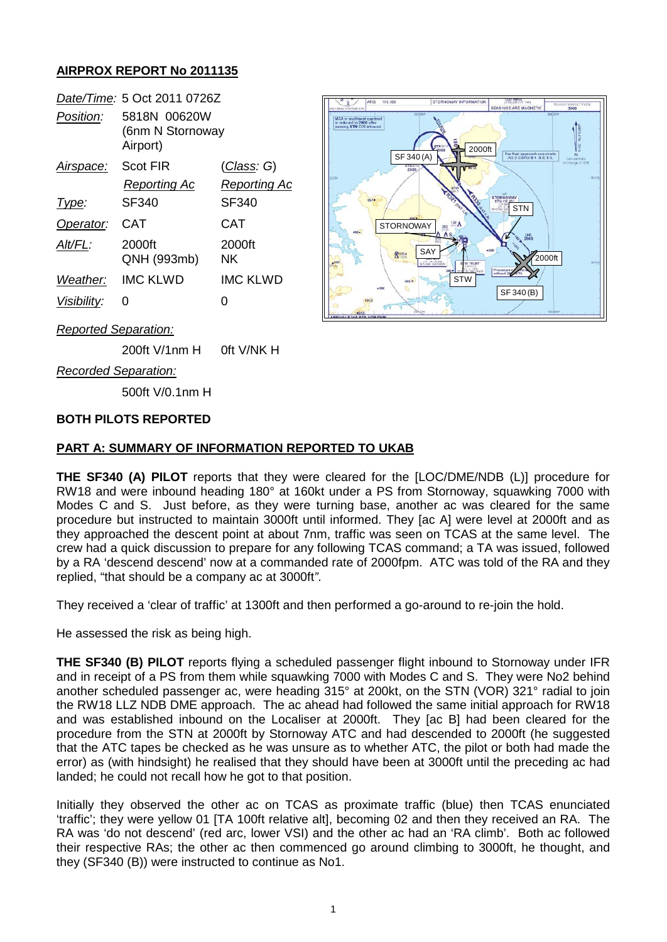# **AIRPROX REPORT No 2011135**

|                    | Date/Time: 5 Oct 2011 0726Z                  |                     |
|--------------------|----------------------------------------------|---------------------|
| Position:          | 5818N 00620W<br>(6nm N Stornoway<br>Airport) |                     |
| Airspace:          | Scot FIR                                     | (Class: G)          |
|                    | <b>Reporting Ac</b>                          | <b>Reporting Ac</b> |
| Type:              | SF340                                        | SF340               |
| Operator:          | CAT                                          | CAT                 |
| Alt/FL:            | 2000ft<br>QNH (993mb)                        | 2000ft<br>NK        |
| Weather:           | IMC KI WD                                    | IMC KLWD            |
| <i>Visibility:</i> |                                              | 0                   |



*Reported Separation:*

200ft V/1nm H 0ft V/NK H

*Recorded Separation:*

500ft V/0.1nm H

## **BOTH PILOTS REPORTED**

## **PART A: SUMMARY OF INFORMATION REPORTED TO UKAB**

**THE SF340 (A) PILOT** reports that they were cleared for the [LOC/DME/NDB (L)] procedure for RW18 and were inbound heading 180° at 160kt under a PS from Stornoway, squawking 7000 with Modes C and S. Just before, as they were turning base, another ac was cleared for the same procedure but instructed to maintain 3000ft until informed. They [ac A] were level at 2000ft and as they approached the descent point at about 7nm, traffic was seen on TCAS at the same level. The crew had a quick discussion to prepare for any following TCAS command; a TA was issued, followed by a RA 'descend descend' now at a commanded rate of 2000fpm. ATC was told of the RA and they replied, "that should be a company ac at 3000ft*"*.

They received a 'clear of traffic' at 1300ft and then performed a go-around to re-join the hold.

He assessed the risk as being high.

**THE SF340 (B) PILOT** reports flying a scheduled passenger flight inbound to Stornoway under IFR and in receipt of a PS from them while squawking 7000 with Modes C and S. They were No2 behind another scheduled passenger ac, were heading 315° at 200kt, on the STN (VOR) 321° radial to join the RW18 LLZ NDB DME approach. The ac ahead had followed the same initial approach for RW18 and was established inbound on the Localiser at 2000ft. They [ac B] had been cleared for the procedure from the STN at 2000ft by Stornoway ATC and had descended to 2000ft (he suggested that the ATC tapes be checked as he was unsure as to whether ATC, the pilot or both had made the error) as (with hindsight) he realised that they should have been at 3000ft until the preceding ac had landed; he could not recall how he got to that position.

Initially they observed the other ac on TCAS as proximate traffic (blue) then TCAS enunciated 'traffic'; they were yellow 01 [TA 100ft relative alt], becoming 02 and then they received an RA. The RA was 'do not descend' (red arc, lower VSI) and the other ac had an 'RA climb'. Both ac followed their respective RAs; the other ac then commenced go around climbing to 3000ft, he thought, and they (SF340 (B)) were instructed to continue as No1.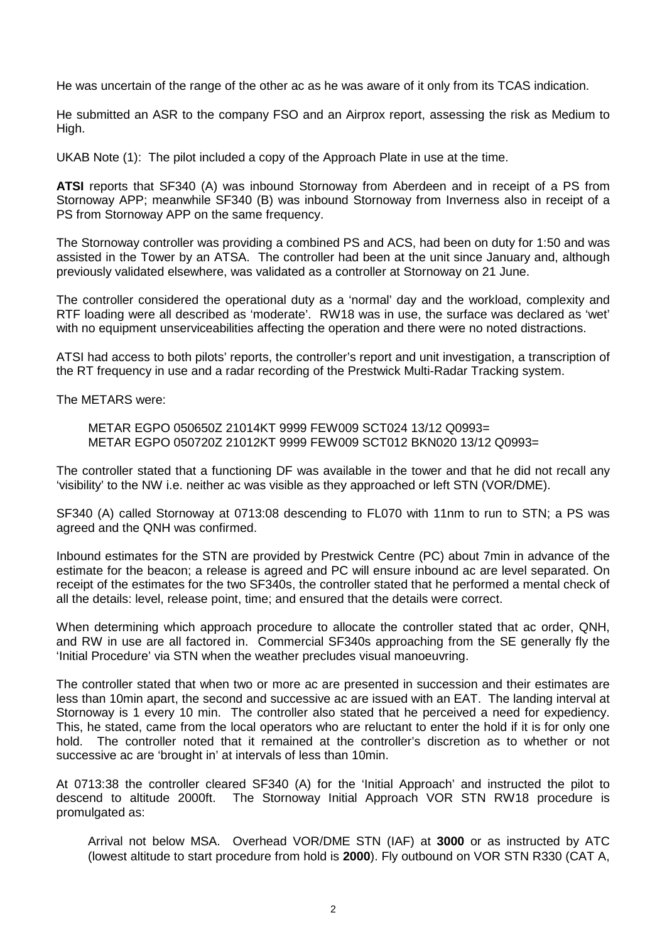He was uncertain of the range of the other ac as he was aware of it only from its TCAS indication.

He submitted an ASR to the company FSO and an Airprox report, assessing the risk as Medium to High.

UKAB Note (1): The pilot included a copy of the Approach Plate in use at the time.

**ATSI** reports that SF340 (A) was inbound Stornoway from Aberdeen and in receipt of a PS from Stornoway APP; meanwhile SF340 (B) was inbound Stornoway from Inverness also in receipt of a PS from Stornoway APP on the same frequency.

The Stornoway controller was providing a combined PS and ACS, had been on duty for 1:50 and was assisted in the Tower by an ATSA. The controller had been at the unit since January and, although previously validated elsewhere, was validated as a controller at Stornoway on 21 June.

The controller considered the operational duty as a 'normal' day and the workload, complexity and RTF loading were all described as 'moderate'. RW18 was in use, the surface was declared as 'wet' with no equipment unserviceabilities affecting the operation and there were no noted distractions.

ATSI had access to both pilots' reports, the controller's report and unit investigation, a transcription of the RT frequency in use and a radar recording of the Prestwick Multi-Radar Tracking system.

The METARS were:

METAR EGPO 050650Z 21014KT 9999 FEW009 SCT024 13/12 Q0993= METAR EGPO 050720Z 21012KT 9999 FEW009 SCT012 BKN020 13/12 Q0993=

The controller stated that a functioning DF was available in the tower and that he did not recall any 'visibility' to the NW i.e. neither ac was visible as they approached or left STN (VOR/DME).

SF340 (A) called Stornoway at 0713:08 descending to FL070 with 11nm to run to STN; a PS was agreed and the QNH was confirmed.

Inbound estimates for the STN are provided by Prestwick Centre (PC) about 7min in advance of the estimate for the beacon; a release is agreed and PC will ensure inbound ac are level separated. On receipt of the estimates for the two SF340s, the controller stated that he performed a mental check of all the details: level, release point, time; and ensured that the details were correct.

When determining which approach procedure to allocate the controller stated that ac order, QNH, and RW in use are all factored in. Commercial SF340s approaching from the SE generally fly the 'Initial Procedure' via STN when the weather precludes visual manoeuvring.

The controller stated that when two or more ac are presented in succession and their estimates are less than 10min apart, the second and successive ac are issued with an EAT. The landing interval at Stornoway is 1 every 10 min. The controller also stated that he perceived a need for expediency. This, he stated, came from the local operators who are reluctant to enter the hold if it is for only one hold. The controller noted that it remained at the controller's discretion as to whether or not successive ac are 'brought in' at intervals of less than 10min.

At 0713:38 the controller cleared SF340 (A) for the 'Initial Approach' and instructed the pilot to descend to altitude 2000ft. The Stornoway Initial Approach VOR STN RW18 procedure is promulgated as:

Arrival not below MSA. Overhead VOR/DME STN (IAF) at **3000** or as instructed by ATC (lowest altitude to start procedure from hold is **2000**). Fly outbound on VOR STN R330 (CAT A,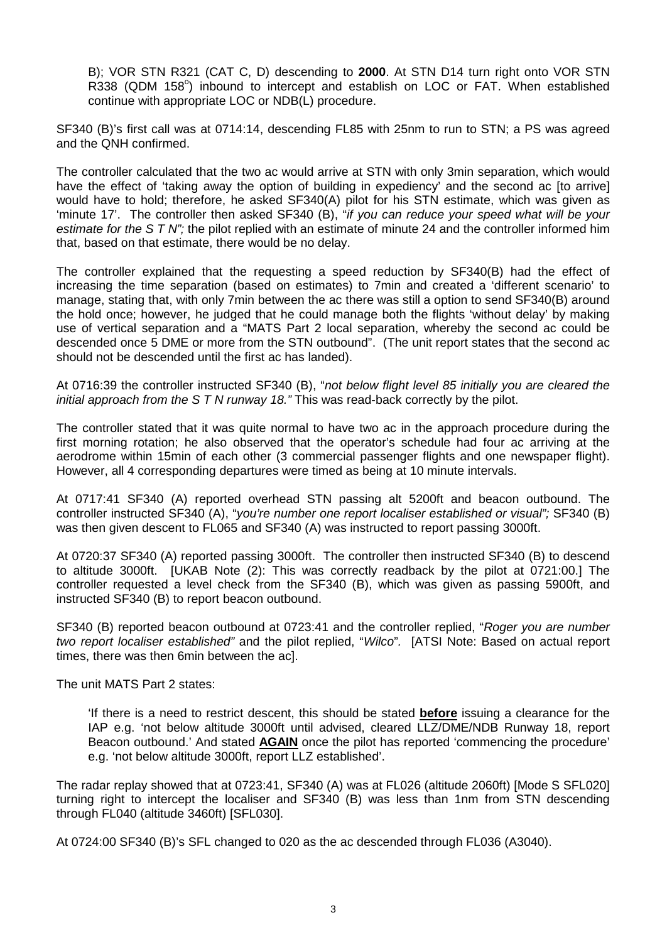B); VOR STN R321 (CAT C, D) descending to **2000**. At STN D14 turn right onto VOR STN R338 (QDM 158<sup>o</sup>) inbound to intercept and establish on LOC or FAT. When established continue with appropriate LOC or NDB(L) procedure.

SF340 (B)'s first call was at 0714:14, descending FL85 with 25nm to run to STN; a PS was agreed and the QNH confirmed.

The controller calculated that the two ac would arrive at STN with only 3min separation, which would have the effect of 'taking away the option of building in expediency' and the second ac [to arrive] would have to hold; therefore, he asked SF340(A) pilot for his STN estimate, which was given as 'minute 17'. The controller then asked SF340 (B), "*if you can reduce your speed what will be your estimate for the S T N";* the pilot replied with an estimate of minute 24 and the controller informed him that, based on that estimate, there would be no delay.

The controller explained that the requesting a speed reduction by SF340(B) had the effect of increasing the time separation (based on estimates) to 7min and created a 'different scenario' to manage, stating that, with only 7min between the ac there was still a option to send SF340(B) around the hold once; however, he judged that he could manage both the flights 'without delay' by making use of vertical separation and a "MATS Part 2 local separation, whereby the second ac could be descended once 5 DME or more from the STN outbound". (The unit report states that the second ac should not be descended until the first ac has landed).

At 0716:39 the controller instructed SF340 (B), "*not below flight level 85 initially you are cleared the initial approach from the S T N runway 18."* This was read-back correctly by the pilot.

The controller stated that it was quite normal to have two ac in the approach procedure during the first morning rotation; he also observed that the operator's schedule had four ac arriving at the aerodrome within 15min of each other (3 commercial passenger flights and one newspaper flight). However, all 4 corresponding departures were timed as being at 10 minute intervals.

At 0717:41 SF340 (A) reported overhead STN passing alt 5200ft and beacon outbound. The controller instructed SF340 (A), "*you're number one report localiser established or visual";* SF340 (B) was then given descent to FL065 and SF340 (A) was instructed to report passing 3000ft.

At 0720:37 SF340 (A) reported passing 3000ft. The controller then instructed SF340 (B) to descend to altitude 3000ft. [UKAB Note (2): This was correctly readback by the pilot at 0721:00.] The controller requested a level check from the SF340 (B), which was given as passing 5900ft, and instructed SF340 (B) to report beacon outbound.

SF340 (B) reported beacon outbound at 0723:41 and the controller replied, "*Roger you are number two report localiser established"* and the pilot replied, "*Wilco*"*.* [ATSI Note: Based on actual report times, there was then 6min between the ac].

The unit MATS Part 2 states:

'If there is a need to restrict descent, this should be stated **before** issuing a clearance for the IAP e.g. 'not below altitude 3000ft until advised, cleared LLZ/DME/NDB Runway 18, report Beacon outbound.' And stated **AGAIN** once the pilot has reported 'commencing the procedure' e.g. 'not below altitude 3000ft, report LLZ established'.

The radar replay showed that at 0723:41, SF340 (A) was at FL026 (altitude 2060ft) [Mode S SFL020] turning right to intercept the localiser and SF340 (B) was less than 1nm from STN descending through FL040 (altitude 3460ft) [SFL030].

At 0724:00 SF340 (B)'s SFL changed to 020 as the ac descended through FL036 (A3040).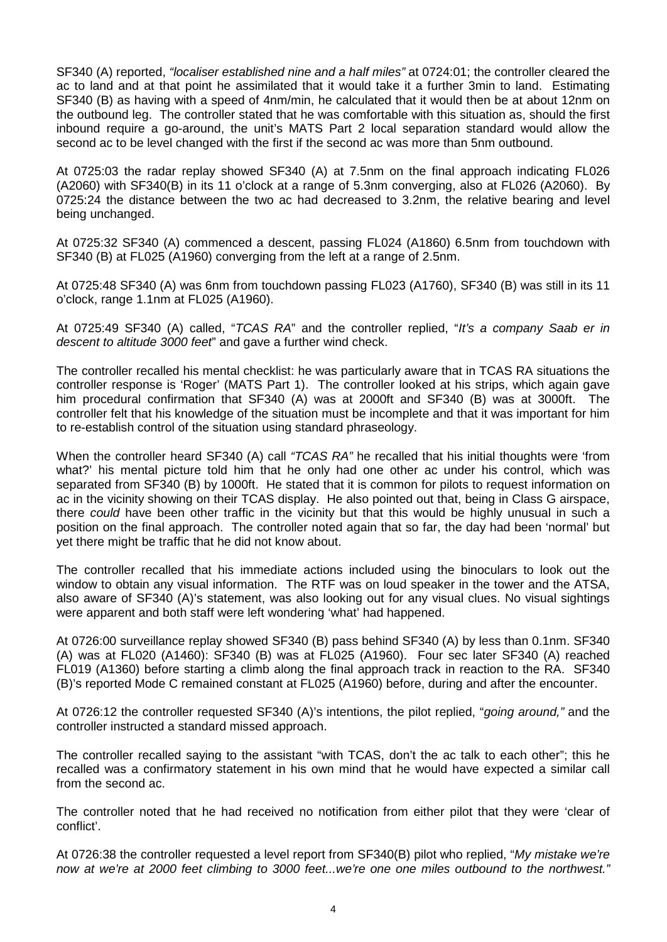SF340 (A) reported, *"localiser established nine and a half miles"* at 0724:01; the controller cleared the ac to land and at that point he assimilated that it would take it a further 3min to land. Estimating SF340 (B) as having with a speed of 4nm/min, he calculated that it would then be at about 12nm on the outbound leg. The controller stated that he was comfortable with this situation as, should the first inbound require a go-around, the unit's MATS Part 2 local separation standard would allow the second ac to be level changed with the first if the second ac was more than 5nm outbound.

At 0725:03 the radar replay showed SF340 (A) at 7.5nm on the final approach indicating FL026 (A2060) with SF340(B) in its 11 o'clock at a range of 5.3nm converging, also at FL026 (A2060). By 0725:24 the distance between the two ac had decreased to 3.2nm, the relative bearing and level being unchanged.

At 0725:32 SF340 (A) commenced a descent, passing FL024 (A1860) 6.5nm from touchdown with SF340 (B) at FL025 (A1960) converging from the left at a range of 2.5nm.

At 0725:48 SF340 (A) was 6nm from touchdown passing FL023 (A1760), SF340 (B) was still in its 11 o'clock, range 1.1nm at FL025 (A1960).

At 0725:49 SF340 (A) called, "*TCAS RA*" and the controller replied, "*It's a company Saab er in descent to altitude 3000 feet*" and gave a further wind check.

The controller recalled his mental checklist: he was particularly aware that in TCAS RA situations the controller response is 'Roger' (MATS Part 1). The controller looked at his strips, which again gave him procedural confirmation that SF340 (A) was at 2000ft and SF340 (B) was at 3000ft. The controller felt that his knowledge of the situation must be incomplete and that it was important for him to re-establish control of the situation using standard phraseology.

When the controller heard SF340 (A) call *"TCAS RA"* he recalled that his initial thoughts were 'from what?' his mental picture told him that he only had one other ac under his control, which was separated from SF340 (B) by 1000ft. He stated that it is common for pilots to request information on ac in the vicinity showing on their TCAS display. He also pointed out that, being in Class G airspace, there *could* have been other traffic in the vicinity but that this would be highly unusual in such a position on the final approach. The controller noted again that so far, the day had been 'normal' but yet there might be traffic that he did not know about.

The controller recalled that his immediate actions included using the binoculars to look out the window to obtain any visual information. The RTF was on loud speaker in the tower and the ATSA, also aware of SF340 (A)'s statement, was also looking out for any visual clues. No visual sightings were apparent and both staff were left wondering 'what' had happened.

At 0726:00 surveillance replay showed SF340 (B) pass behind SF340 (A) by less than 0.1nm. SF340 (A) was at FL020 (A1460): SF340 (B) was at FL025 (A1960). Four sec later SF340 (A) reached FL019 (A1360) before starting a climb along the final approach track in reaction to the RA. SF340 (B)'s reported Mode C remained constant at FL025 (A1960) before, during and after the encounter.

At 0726:12 the controller requested SF340 (A)'s intentions, the pilot replied, "*going around,"* and the controller instructed a standard missed approach.

The controller recalled saying to the assistant "with TCAS, don't the ac talk to each other"; this he recalled was a confirmatory statement in his own mind that he would have expected a similar call from the second ac.

The controller noted that he had received no notification from either pilot that they were 'clear of conflict'.

At 0726:38 the controller requested a level report from SF340(B) pilot who replied, "*My mistake we're now at we're at 2000 feet climbing to 3000 feet...we're one one miles outbound to the northwest."*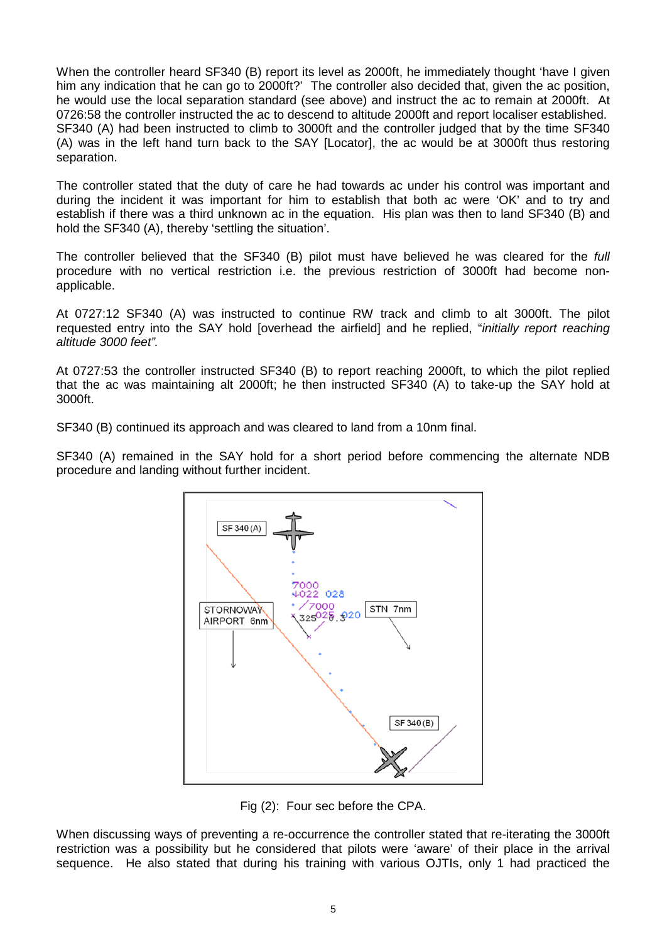When the controller heard SF340 (B) report its level as 2000ft, he immediately thought 'have I given him any indication that he can go to 2000ft?' The controller also decided that, given the ac position, he would use the local separation standard (see above) and instruct the ac to remain at 2000ft. At 0726:58 the controller instructed the ac to descend to altitude 2000ft and report localiser established. SF340 (A) had been instructed to climb to 3000ft and the controller judged that by the time SF340 (A) was in the left hand turn back to the SAY [Locator], the ac would be at 3000ft thus restoring separation.

The controller stated that the duty of care he had towards ac under his control was important and during the incident it was important for him to establish that both ac were 'OK' and to try and establish if there was a third unknown ac in the equation. His plan was then to land SF340 (B) and hold the SF340 (A), thereby 'settling the situation'.

The controller believed that the SF340 (B) pilot must have believed he was cleared for the *full* procedure with no vertical restriction i.e. the previous restriction of 3000ft had become nonapplicable.

At 0727:12 SF340 (A) was instructed to continue RW track and climb to alt 3000ft. The pilot requested entry into the SAY hold [overhead the airfield] and he replied, "*initially report reaching altitude 3000 feet".*

At 0727:53 the controller instructed SF340 (B) to report reaching 2000ft, to which the pilot replied that the ac was maintaining alt 2000ft; he then instructed SF340 (A) to take-up the SAY hold at 3000ft.

SF340 (B) continued its approach and was cleared to land from a 10nm final.

SF340 (A) remained in the SAY hold for a short period before commencing the alternate NDB procedure and landing without further incident.



Fig (2): Four sec before the CPA.

When discussing ways of preventing a re-occurrence the controller stated that re-iterating the 3000ft restriction was a possibility but he considered that pilots were 'aware' of their place in the arrival sequence. He also stated that during his training with various OJTIs, only 1 had practiced the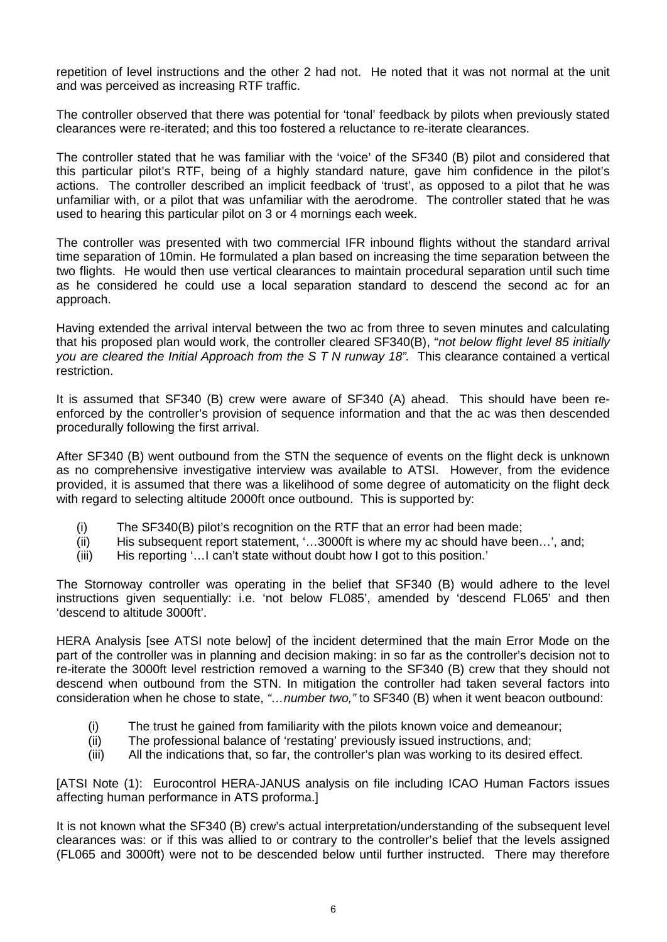repetition of level instructions and the other 2 had not. He noted that it was not normal at the unit and was perceived as increasing RTF traffic.

The controller observed that there was potential for 'tonal' feedback by pilots when previously stated clearances were re-iterated; and this too fostered a reluctance to re-iterate clearances.

The controller stated that he was familiar with the 'voice' of the SF340 (B) pilot and considered that this particular pilot's RTF, being of a highly standard nature, gave him confidence in the pilot's actions. The controller described an implicit feedback of 'trust', as opposed to a pilot that he was unfamiliar with, or a pilot that was unfamiliar with the aerodrome. The controller stated that he was used to hearing this particular pilot on 3 or 4 mornings each week.

The controller was presented with two commercial IFR inbound flights without the standard arrival time separation of 10min. He formulated a plan based on increasing the time separation between the two flights. He would then use vertical clearances to maintain procedural separation until such time as he considered he could use a local separation standard to descend the second ac for an approach.

Having extended the arrival interval between the two ac from three to seven minutes and calculating that his proposed plan would work, the controller cleared SF340(B), "*not below flight level 85 initially you are cleared the Initial Approach from the S T N runway 18".* This clearance contained a vertical restriction.

It is assumed that SF340 (B) crew were aware of SF340 (A) ahead. This should have been reenforced by the controller's provision of sequence information and that the ac was then descended procedurally following the first arrival.

After SF340 (B) went outbound from the STN the sequence of events on the flight deck is unknown as no comprehensive investigative interview was available to ATSI. However, from the evidence provided, it is assumed that there was a likelihood of some degree of automaticity on the flight deck with regard to selecting altitude 2000ft once outbound. This is supported by:

- (i) The SF340(B) pilot's recognition on the RTF that an error had been made;
- (ii) His subsequent report statement, '…3000ft is where my ac should have been…', and;
- (iii) His reporting '…I can't state without doubt how I got to this position.'

The Stornoway controller was operating in the belief that SF340 (B) would adhere to the level instructions given sequentially: i.e. 'not below FL085', amended by 'descend FL065' and then 'descend to altitude 3000ft'.

HERA Analysis [see ATSI note below] of the incident determined that the main Error Mode on the part of the controller was in planning and decision making: in so far as the controller's decision not to re-iterate the 3000ft level restriction removed a warning to the SF340 (B) crew that they should not descend when outbound from the STN. In mitigation the controller had taken several factors into consideration when he chose to state, *"…number two,"* to SF340 (B) when it went beacon outbound:

- (i) The trust he gained from familiarity with the pilots known voice and demeanour;
- (ii) The professional balance of 'restating' previously issued instructions, and;
- (iii) All the indications that, so far, the controller's plan was working to its desired effect.

[ATSI Note (1): Eurocontrol HERA-JANUS analysis on file including ICAO Human Factors issues affecting human performance in ATS proforma.]

It is not known what the SF340 (B) crew's actual interpretation/understanding of the subsequent level clearances was: or if this was allied to or contrary to the controller's belief that the levels assigned (FL065 and 3000ft) were not to be descended below until further instructed. There may therefore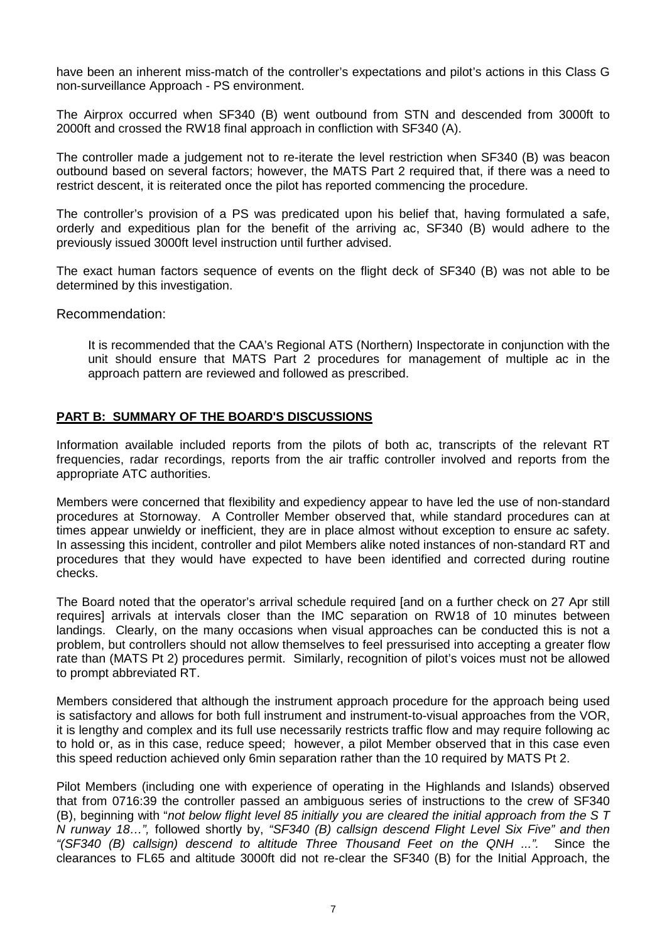have been an inherent miss-match of the controller's expectations and pilot's actions in this Class G non-surveillance Approach - PS environment.

The Airprox occurred when SF340 (B) went outbound from STN and descended from 3000ft to 2000ft and crossed the RW18 final approach in confliction with SF340 (A).

The controller made a judgement not to re-iterate the level restriction when SF340 (B) was beacon outbound based on several factors; however, the MATS Part 2 required that, if there was a need to restrict descent, it is reiterated once the pilot has reported commencing the procedure.

The controller's provision of a PS was predicated upon his belief that, having formulated a safe, orderly and expeditious plan for the benefit of the arriving ac, SF340 (B) would adhere to the previously issued 3000ft level instruction until further advised.

The exact human factors sequence of events on the flight deck of SF340 (B) was not able to be determined by this investigation.

Recommendation:

It is recommended that the CAA's Regional ATS (Northern) Inspectorate in conjunction with the unit should ensure that MATS Part 2 procedures for management of multiple ac in the approach pattern are reviewed and followed as prescribed.

### **PART B: SUMMARY OF THE BOARD'S DISCUSSIONS**

Information available included reports from the pilots of both ac, transcripts of the relevant RT frequencies, radar recordings, reports from the air traffic controller involved and reports from the appropriate ATC authorities.

Members were concerned that flexibility and expediency appear to have led the use of non-standard procedures at Stornoway. A Controller Member observed that, while standard procedures can at times appear unwieldy or inefficient, they are in place almost without exception to ensure ac safety. In assessing this incident, controller and pilot Members alike noted instances of non-standard RT and procedures that they would have expected to have been identified and corrected during routine checks.

The Board noted that the operator's arrival schedule required [and on a further check on 27 Apr still requires] arrivals at intervals closer than the IMC separation on RW18 of 10 minutes between landings. Clearly, on the many occasions when visual approaches can be conducted this is not a problem, but controllers should not allow themselves to feel pressurised into accepting a greater flow rate than (MATS Pt 2) procedures permit. Similarly, recognition of pilot's voices must not be allowed to prompt abbreviated RT.

Members considered that although the instrument approach procedure for the approach being used is satisfactory and allows for both full instrument and instrument-to-visual approaches from the VOR, it is lengthy and complex and its full use necessarily restricts traffic flow and may require following ac to hold or, as in this case, reduce speed; however, a pilot Member observed that in this case even this speed reduction achieved only 6min separation rather than the 10 required by MATS Pt 2.

Pilot Members (including one with experience of operating in the Highlands and Islands) observed that from 0716:39 the controller passed an ambiguous series of instructions to the crew of SF340 (B), beginning with "*not below flight level 85 initially you are cleared the initial approach from the S T N runway 18…",* followed shortly by, *"SF340 (B) callsign descend Flight Level Six Five" and then "(SF340 (B) callsign) descend to altitude Three Thousand Feet on the QNH ...".* Since the clearances to FL65 and altitude 3000ft did not re-clear the SF340 (B) for the Initial Approach, the